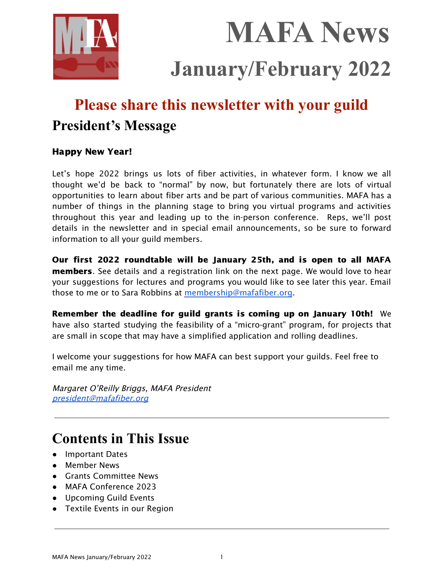

**MAFA News January/February 2022**

# **Please share this newsletter with your guild President's Message**

## Happy New Year!

Let's hope 2022 brings us lots of fiber activities, in whatever form. I know we all thought we'd be back to "normal" by now, but fortunately there are lots of virtual opportunities to learn about fiber arts and be part of various communities. MAFA has a number of things in the planning stage to bring you virtual programs and activities throughout this year and leading up to the in-person conference. Reps, we'll post details in the newsletter and in special email announcements, so be sure to forward information to all your guild members.

Our first 2022 roundtable will be January 25th, and is open to all MAFA members. See details and a registration link on the next page. We would love to hear your suggestions for lectures and programs you would like to see later this year. Email those to me or to Sara Robbins at [membership@mafafiber.org](mailto:membership@mafafiber.org).

Remember the deadline for guild grants is coming up on January 10th! We have also started studying the feasibility of a "micro-grant" program, for projects that are small in scope that may have a simplified application and rolling deadlines.

I welcome your suggestions for how MAFA can best support your guilds. Feel free to email me any time.

Margaret O'Reilly Briggs, MAFA President [president@mafafiber.org](mailto:president@mafafiber.org)

## **Contents in This Issue**

- Important Dates
- Member News
- Grants Committee News
- MAFA Conference 2023
- Upcoming Guild Events
- Textile Events in our Region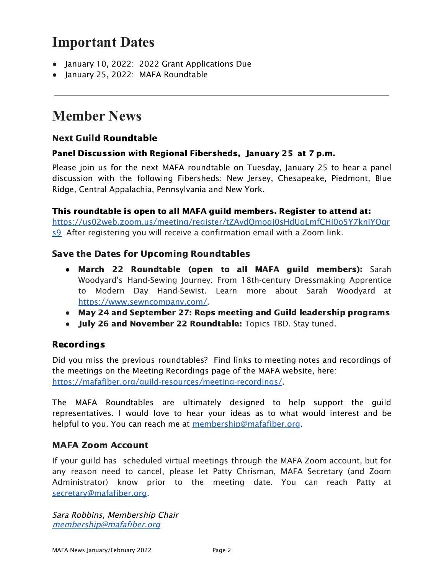## **Important Dates**

- January 10, 2022: 2022 Grant Applications Due
- January 25, 2022: MAFA Roundtable

## **Member News**

## Next Guild Roundtable

#### Panel Discussion with Regional Fibersheds, January 25 at 7 p.m.

Please join us for the next MAFA roundtable on Tuesday, January 25 to hear a panel discussion with the following Fibersheds: New Jersey, Chesapeake, Piedmont, Blue Ridge, Central Appalachia, Pennsylvania and New York.

#### This roundtable is open to all MAFA guild members. Register to attend at:

[https://us02web.zoom.us/meeting/register/tZAvdOmoqj0sHdUqLmfCHi0o5Y7knjYOqr](https://us02web.zoom.us/meeting/register/tZAvdOmoqj0sHdUqLmfCHi0o5Y7knjYOqrs9) [s9](https://us02web.zoom.us/meeting/register/tZAvdOmoqj0sHdUqLmfCHi0o5Y7knjYOqrs9) After registering you will receive a confirmation email with a Zoom link.

### Save the Dates for Upcoming Roundtables

- March 22 Roundtable (open to all MAFA guild members): Sarah Woodyard's Hand-Sewing Journey: From 18th-century Dressmaking Apprentice to Modern Day Hand-Sewist. Learn more about Sarah Woodyard at [https://www.sewncompany.com/.](https://www.sewncompany.com/)
- **●** May 24 and September 27: Reps meeting and Guild leadership programs
- July 26 and November 22 Roundtable: Topics TBD. Stay tuned.

### Recordings

Did you miss the previous roundtables? Find links to meeting notes and recordings of the meetings on the Meeting Recordings page of the MAFA website, here: <https://mafafiber.org/guild-resources/meeting-recordings/>.

The MAFA Roundtables are ultimately designed to help support the guild representatives. I would love to hear your ideas as to what would interest and be helpful to you. You can reach me at [membership@mafafiber.org](mailto:membership@mafafiber.org).

### MAFA Zoom Account

If your guild has scheduled virtual meetings through the MAFA Zoom account, but for any reason need to cancel, please let Patty Chrisman, MAFA Secretary (and Zoom Administrator) know prior to the meeting date. You can reach Patty at [secretary@mafafiber.org.](mailto:secretary@mafafiber.org)

Sara Robbins, Membership Chair [membership@mafafiber.org](mailto:membership@mafafiber.org)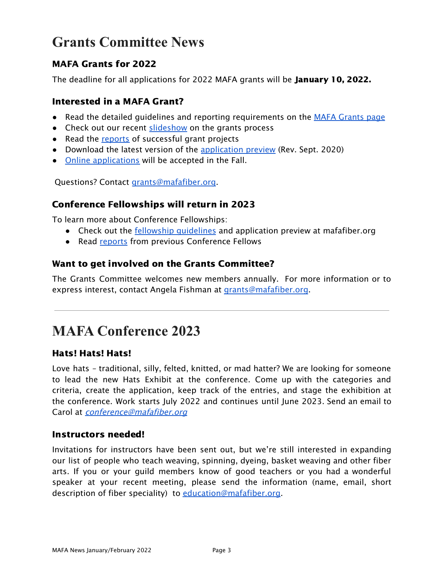## **Grants Committee News**

## MAFA Grants for 2022

The deadline for all applications for 2022 MAFA grants will be **January 10, 2022.** 

### Interested in a MAFA Grant?

- Read the detailed guidelines and reporting requirements on the MAFA [Grants](https://mafafiber.org/grants/guild-grants/) page
- Check out our recent [slideshow](https://mafafiber.org/wp-content/uploads/Grants/MAFA-Grants-Slides-compressed.pdf) on the grants process
- Read the [reports](https://mafafiber.org/grants/guild-grants/grant-awards/) of successful grant projects
- Download the latest version of the [application](https://mafafiber.org/wp-content/uploads/Forms/MAFA-GRANT-APPLICATION-preview.pdf) preview (Rev. Sept. 2020)
- Online [applications](https://mafafiber.org/grants/guild-grants/grant-application/) will be accepted in the Fall.

Questions? Contact [grants@mafafiber.org.](mailto:grants@mafafiber.org)

## Conference Fellowships will return in 2023

To learn more about Conference Fellowships:

- Check out the **fellowship quidelines** and application preview at mafafiber.org
- Read [reports](https://mafafiber.org/grants/fellowships/fellowship-awards/) from previous Conference Fellows

## Want to get involved on the Grants Committee?

The Grants Committee welcomes new members annually. For more information or to express interest, contact Angela Fishman at [grants@mafafiber.org](mailto:grants@mafafiber.org).

## **MAFA Conference 2023**

### Hats! Hats! Hats!

Love hats – traditional, silly, felted, knitted, or mad hatter? We are looking for someone to lead the new Hats Exhibit at the conference. Come up with the categories and criteria, create the application, keep track of the entries, and stage the exhibition at the conference. Work starts July 2022 and continues until June 2023. Send an email to Carol at *[conference@mafafiber.org](mailto:conference@mafafiber.org)* 

### Instructors needed!

Invitations for instructors have been sent out, but we're still interested in expanding our list of people who teach weaving, spinning, dyeing, basket weaving and other fiber arts. If you or your guild members know of good teachers or you had a wonderful speaker at your recent meeting, please send the information (name, email, short description of fiber speciality) to [education@mafafiber.org.](mailto:education@mafafiber.org)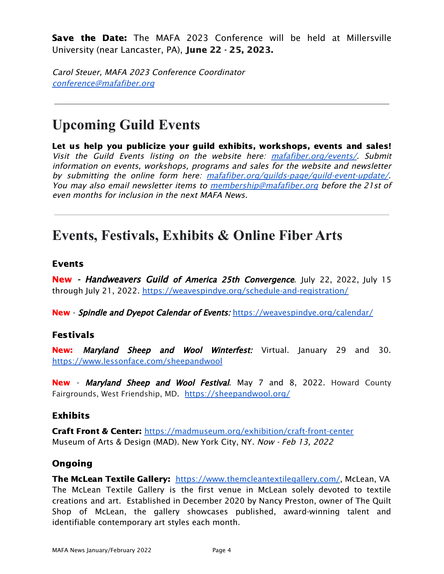**Save the Date:** The MAFA 2023 Conference will be held at Millersville University (near Lancaster, PA), June 22 - 25, 2023.

Carol Steuer, MAFA 2023 Conference Coordinator [conference@mafafiber.org](mailto:conference@mafafiber.org)

## **Upcoming Guild Events**

Let us help you publicize your guild exhibits, workshops, events and sales! Visit the Guild Events listing on the website here: [mafafiber.org/events/](https://mafafiber.org/events/). Submit information on events, workshops, programs and sales for the website and newsletter by submitting the online form here: [mafafiber.org/guilds-page/guild-event-update/](https://mafafiber.org/guilds-page/guild-event-update/). You may also email newsletter items to <u>[membership@mafafiber.org](mailto:membership@mafafiber.org)</u> before the 21st of even months for inclusion in the next MAFA News.

## **Events, Festivals, Exhibits & Online Fiber Arts**

#### Events

**New - Handweavers Guild of America 25th Convergence.** July 22, 2022, July 15 through July 21, 2022. <https://weavespindye.org/schedule-and-registration/>

New - Spindle and Dyepot Calendar of Events: <https://weavespindye.org/calendar/>

### Festivals

New: Maryland Sheep and Wool Winterfest: Virtual. January 29 and 30. <https://www.lessonface.com/sheepandwool>

New - Maryland Sheep and Wool Festival. May 7 and 8, 2022. Howard County Fairgrounds, West Friendship, MD. <https://sheepandwool.org/>

### Exhibits

Craft Front & Center: <https://madmuseum.org/exhibition/craft-front-center> Museum of Arts & Design (MAD). New York City, NY. Now - Feb 13, 2022

### Ongoing

The McLean Textile Gallery: <https://www.themcleantextilegallery.com/>, McLean, VA The McLean Textile Gallery is the first venue in McLean solely devoted to textile creations and art. Established in December 2020 by Nancy Preston, owner of The Quilt Shop of McLean, the gallery showcases published, award-winning talent and identifiable contemporary art styles each month.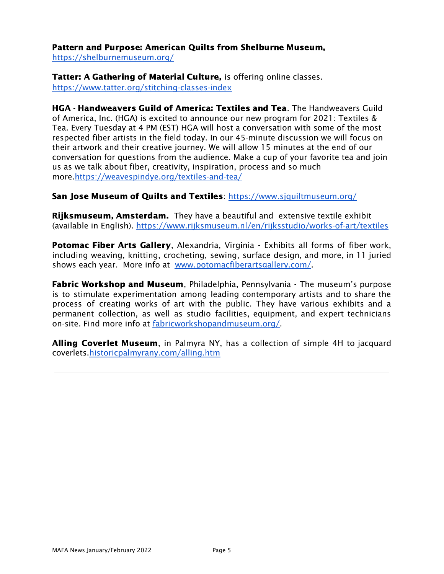Pattern and Purpose: American Quilts from Shelburne Museum,

<https://shelburnemuseum.org/>

Tatter: A Gathering of Material Culture, is offering online classes. <https://www.tatter.org/stitching-classes-index>

HGA - Handweavers Guild of America: Textiles and Tea. The Handweavers Guild of America, Inc. (HGA) is excited to announce our new program for 2021: Textiles & Tea. Every Tuesday at 4 PM (EST) HGA will host a conversation with some of the most respected fiber artists in the field today. In our 45-minute discussion we will focus on their artwork and their creative journey. We will allow 15 minutes at the end of our conversation for questions from the audience. Make a cup of your favorite tea and join us as we talk about fiber, creativity, inspiration, process and so much more[.https://weavespindye.org/textiles-and-tea/](https://weavespindye.org/textiles-and-tea/)

#### San Jose Museum of Quilts and Textiles: <https://www.sjquiltmuseum.org/>

**Rijksmuseum, Amsterdam.** They have a beautiful and extensive textile exhibit (available in English). <https://www.rijksmuseum.nl/en/rijksstudio/works-of-art/textiles>

**Potomac Fiber Arts Gallery, Alexandria, Virginia - Exhibits all forms of fiber work,** including weaving, knitting, crocheting, sewing, surface design, and more, in 11 juried shows each year. More info at [www.potomacfiberartsgallery.com/](http://www.potomacfiberartsgallery.com/).

**Fabric Workshop and Museum**, Philadelphia, Pennsylvania - The museum's purpose is to stimulate experimentation among leading contemporary artists and to share the process of creating works of art with the public. They have various exhibits and a permanent collection, as well as studio facilities, equipment, and expert technicians on-site. Find more info at [fabricworkshopandmuseum.org/.](http://fabricworkshopandmuseum.org/)

Alling Coverlet Museum, in Palmyra NY, has a collection of simple 4H to jacquard coverlets[.historicpalmyrany.com/alling.htm](http://historicpalmyrany.com/alling.htm)